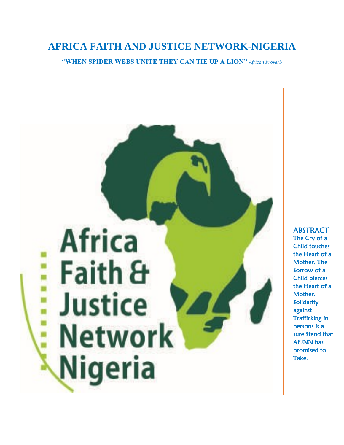# **AFRICA FAITH AND JUSTICE NETWORK-NIGERIA**

**"WHEN SPIDER WEBS UNITE THEY CAN TIE UP A LION"** *African Proverb*



#### The Cry of a Child touches the Heart of a Mother. The Sorrow of a Child pierces the Heart of a Mother. Solidarity against Trafficking in persons is a sure Stand that AFJNN has promised to Take.

ABSTRACT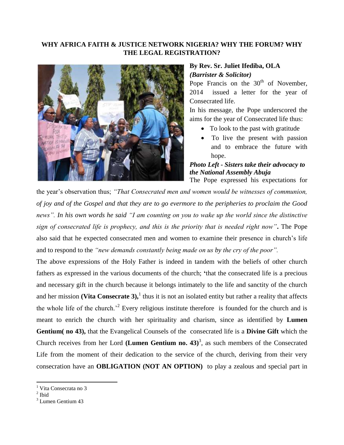#### **WHY AFRICA FAITH & JUSTICE NETWORK NIGERIA? WHY THE FORUM? WHY THE LEGAL REGISTRATION?**



#### **By Rev. Sr. Juliet Ifediba, OLA** *(Barrister & Solicitor)*

Pope Francis on the  $30<sup>th</sup>$  of November, 2014 issued a letter for the year of Consecrated life.

In his message, the Pope underscored the aims for the year of Consecrated life thus:

- To look to the past with gratitude
- To live the present with passion and to embrace the future with hope.

### *Photo Left - Sisters take their advocacy to the National Assembly Abuja*

The Pope expressed his expectations for

the year's observation thus; *"That Consecrated men and women would be witnesses of communion, of joy and of the Gospel and that they are to go evermore to the peripheries to proclaim the Good news". In his own words he said "I am counting on you to wake up the world since the distinctive sign of consecrated life is prophecy, and this is the priority that is needed right now"***.** The Pope also said that he expected consecrated men and women to examine their presence in church's life and to respond to the *"new demands constantly being made on us by the cry of the poor".* 

The above expressions of the Holy Father is indeed in tandem with the beliefs of other church fathers as expressed in the various documents of the church; **'**that the consecrated life is a precious and necessary gift in the church because it belongs intimately to the life and sanctity of the church and her mission (Vita Consecrate  $3$ ),<sup>1</sup> thus it is not an isolated entity but rather a reality that affects the whole life of the church.<sup>2</sup> Every religious institute therefore is founded for the church and is meant to enrich the church with her spirituality and charism, since as identified by **Lumen Gentium( no 43),** that the Evangelical Counsels of the consecrated life is a **Divine Gift** which the Church receives from her Lord (Lumen Gentium no.  $43$ )<sup>3</sup>, as such members of the Consecrated Life from the moment of their dedication to the service of the church, deriving from their very consecration have an **OBLIGATION (NOT AN OPTION)** to play a zealous and special part in

 $\overline{a}$ 

<sup>&</sup>lt;sup>1</sup> Vita Consecrata no 3

 $<sup>2</sup>$  Ibid</sup>

<sup>&</sup>lt;sup>3</sup> Lumen Gentium 43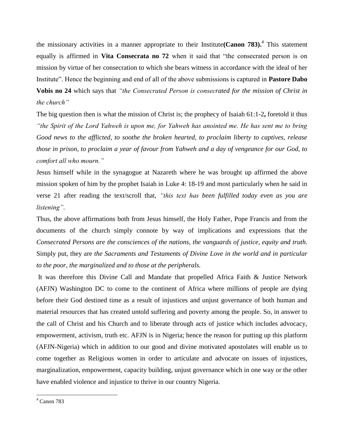the missionary activities in a manner appropriate to their Institute**(Canon 783).**<sup>4</sup> This statement equally is affirmed in **Vita Consecrata no 72** when it said that "the consecrated person is on mission by virtue of her consecration to which she bears witness in accordance with the ideal of her Institute". Hence the beginning and end of all of the above submissions is captured in **Pastore Dabo Vobis no 24** which says that *"the Consecrated Person is consecrated for the mission of Christ in* 

## *the church"*

The big question then is what the mission of Christ is; the prophecy of Isaiah 61:1-2**,** foretold it thus *"the Spirit of the Lord Yahweh is upon me, for Yahweh has anointed me. He has sent me to bring Good news to the afflicted, to soothe the broken hearted, to proclaim liberty to captives, release those in prison, to proclaim a year of favour from Yahweh and a day of vengeance for our God, to comfort all who mourn."*

Jesus himself while in the synagogue at Nazareth where he was brought up affirmed the above mission spoken of him by the prophet Isaiah in Luke 4: 18-19 and most particularly when he said in verse 21 after reading the text/scroll that, *"this text has been fulfilled today even as you are listening".*

Thus, the above affirmations both from Jesus himself, the Holy Father, Pope Francis and from the documents of the church simply connote by way of implications and expressions that the *Consecrated Persons are the consciences of the nations, the vanguards of justice, equity and truth.* Simply put, they are *the Sacraments and Testaments of Divine Love in the world and in particular to the poor, the marginalized and to those at the peripherals.*

It was therefore this Divine Call and Mandate that propelled Africa Faith & Justice Network (AFJN) Washington DC to come to the continent of Africa where millions of people are dying before their God destined time as a result of injustices and unjust governance of both human and material resources that has created untold suffering and poverty among the people. So, in answer to the call of Christ and his Church and to liberate through acts of justice which includes advocacy, empowerment, activism, truth etc. AFJN is in Nigeria; hence the reason for putting up this platform (AFJN-Nigeria) which in addition to our good and divine motivated apostolates will enable us to come together as Religious women in order to articulate and advocate on issues of injustices, marginalization, empowerment, capacity building, unjust governance which in one way or the other have enabled violence and injustice to thrive in our country Nigeria.

 $\overline{a}$ 

 $<sup>4</sup>$  Canon 783</sup>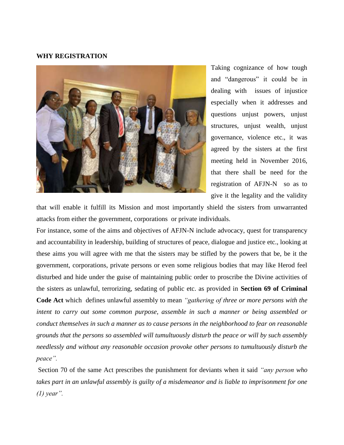#### **WHY REGISTRATION**



Taking cognizance of how tough and "dangerous" it could be in dealing with issues of injustice especially when it addresses and questions unjust powers, unjust structures, unjust wealth, unjust governance, violence etc., it was agreed by the sisters at the first meeting held in November 2016, that there shall be need for the registration of AFJN-N so as to give it the legality and the validity

that will enable it fulfill its Mission and most importantly shield the sisters from unwarranted attacks from either the government, corporations or private individuals.

For instance, some of the aims and objectives of AFJN-N include advocacy, quest for transparency and accountability in leadership, building of structures of peace, dialogue and justice etc., looking at these aims you will agree with me that the sisters may be stifled by the powers that be, be it the government, corporations, private persons or even some religious bodies that may like Herod feel disturbed and hide under the guise of maintaining public order to proscribe the Divine activities of the sisters as unlawful, terrorizing, sedating of public etc. as provided in **Section 69 of Criminal Code Act** which defines unlawful assembly to mean *"gathering of three or more persons with the intent to carry out some common purpose, assemble in such a manner or being assembled or conduct themselves in such a manner as to cause persons in the neighborhood to fear on reasonable grounds that the persons so assembled will tumultuously disturb the peace or will by such assembly needlessly and without any reasonable occasion provoke other persons to tumultuously disturb the peace".*

Section 70 of the same Act prescribes the punishment for deviants when it said *"any person who takes part in an unlawful assembly is guilty of a misdemeanor and is liable to imprisonment for one (1) year".*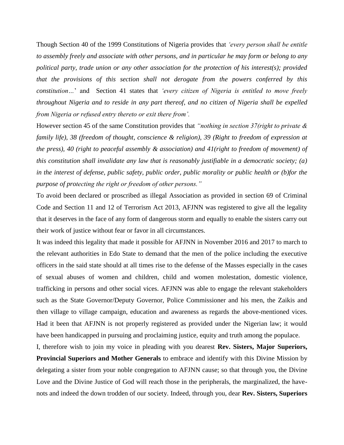Though Section 40 of the 1999 Constitutions of Nigeria provides that *'every person shall be entitle to assembly freely and associate with other persons, and in particular he may form or belong to any political party, trade union or any other association for the protection of his interest(s); provided that the provisions of this section shall not derogate from the powers conferred by this constitution…*' andSection 41 states that *'every citizen of Nigeria is entitled to move freely throughout Nigeria and to reside in any part thereof, and no citizen of Nigeria shall be expelled from Nigeria or refused entry thereto or exit there from'.*

However section 45 of the same Constitution provides that *"nothing in section 37(right to private & family life), 38 (freedom of thought, conscience & religion), 39 (Right to freedom of expression at the press), 40 (right to peaceful assembly & association) and 41(right to freedom of movement) of this constitution shall invalidate any law that is reasonably justifiable in a democratic society; (a) in the interest of defense, public safety, public order, public morality or public health or (b)for the purpose of protecting the right or freedom of other persons."*

To avoid been declared or proscribed as illegal Association as provided in section 69 of Criminal Code and Section 11 and 12 of Terrorism Act 2013, AFJNN was registered to give all the legality that it deserves in the face of any form of dangerous storm and equally to enable the sisters carry out their work of justice without fear or favor in all circumstances.

It was indeed this legality that made it possible for AFJNN in November 2016 and 2017 to march to the relevant authorities in Edo State to demand that the men of the police including the executive officers in the said state should at all times rise to the defense of the Masses especially in the cases of sexual abuses of women and children, child and women molestation, domestic violence, trafficking in persons and other social vices. AFJNN was able to engage the relevant stakeholders such as the State Governor/Deputy Governor, Police Commissioner and his men, the Zaikis and then village to village campaign, education and awareness as regards the above-mentioned vices. Had it been that AFJNN is not properly registered as provided under the Nigerian law; it would have been handicapped in pursuing and proclaiming justice, equity and truth among the populace.

I, therefore wish to join my voice in pleading with you dearest **Rev. Sisters, Major Superiors, Provincial Superiors and Mother Generals** to embrace and identify with this Divine Mission by delegating a sister from your noble congregation to AFJNN cause; so that through you, the Divine Love and the Divine Justice of God will reach those in the peripherals, the marginalized, the havenots and indeed the down trodden of our society. Indeed, through you, dear **Rev. Sisters, Superiors**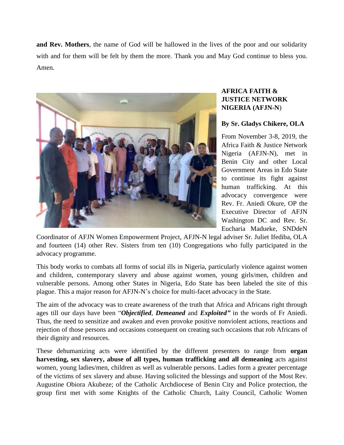**and Rev. Mothers**, the name of God will be hallowed in the lives of the poor and our solidarity with and for them will be felt by them the more. Thank you and May God continue to bless you. Amen.



### **AFRICA FAITH & JUSTICE NETWORK NIGERIA (AFJN-N**)

#### **By Sr. Gladys Chikere, OLA**

From November 3-8, 2019, the Africa Faith & Justice Network Nigeria (AFJN-N), met in Benin City and other Local Government Areas in Edo State to continue its fight against human trafficking. At this advocacy convergence were Rev. Fr. Aniedi Okure, OP the Executive Director of AFJN Washington DC and Rev. Sr. Eucharia Madueke, SNDdeN

Coordinator of AFJN Women Empowerment Project, AFJN-N legal adviser Sr. Juliet Ifediba, OLA and fourteen (14) other Rev. Sisters from ten (10) Congregations who fully participated in the advocacy programme.

This body works to combats all forms of social ills in Nigeria, particularly violence against women and children, contemporary slavery and abuse against women, young girls/men, children and vulnerable persons. Among other States in Nigeria, Edo State has been labeled the site of this plague. This a major reason for AFJN-N's choice for multi-facet advocacy in the State.

The aim of the advocacy was to create awareness of the truth that Africa and Africans right through ages till our days have been "*Objectified*, *Demeaned* and *Exploited"* in the words of Fr Aniedi. Thus, the need to sensitize and awaken and even provoke positive nonviolent actions, reactions and rejection of those persons and occasions consequent on creating such occasions that rob Africans of their dignity and resources.

These dehumanizing acts were identified by the different presenters to range from **organ harvesting, sex slavery, abuse of all types, human trafficking and all demeaning** acts against women, young ladies/men, children as well as vulnerable persons. Ladies form a greater percentage of the victims of sex slavery and abuse. Having solicited the blessings and support of the Most Rev. Augustine Obiora Akubeze; of the Catholic Archdiocese of Benin City and Police protection, the group first met with some Knights of the Catholic Church, Laity Council, Catholic Women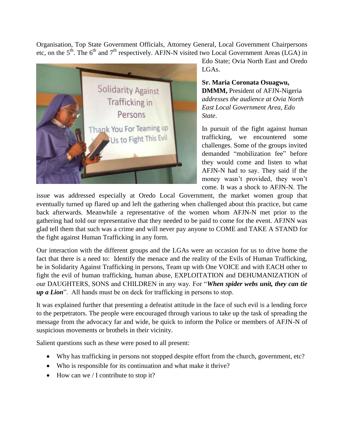Organisation, Top State Government Officials, Attorney General, Local Government Chairpersons etc, on the  $5<sup>th</sup>$ . The  $6<sup>th</sup>$  and  $7<sup>th</sup>$  respectively. AFJN-N visited two Local Government Areas (LGA) in



Edo State; Ovia North East and Oredo LGAs.

**Sr. Maria Coronata Osuagwu, DMMM,** President of AFJN-Nigeria *addresses the audience at Ovia North East Local Government Area, Edo State*.

In pursuit of the fight against human trafficking, we encountered some challenges. Some of the groups invited demanded "mobilization fee" before they would come and listen to what AFJN-N had to say. They said if the money wasn't provided, they won't come. It was a shock to AFJN-N. The

issue was addressed especially at Oredo Local Government, the market women group that eventually turned up flared up and left the gathering when challenged about this practice, but came back afterwards. Meanwhile a representative of the women whom AFJN-N met prior to the gathering had told our representative that they needed to be paid to come for the event. AFJNN was glad tell them that such was a crime and will never pay anyone to COME and TAKE A STAND for the fight against Human Trafficking in any form.

Our interaction with the different groups and the LGAs were an occasion for us to drive home the fact that there is a need to: Identify the menace and the reality of the Evils of Human Trafficking, be in Solidarity Against Trafficking in persons, Team up with One VOICE and with EACH other to fight the evil of human trafficking, human abuse, EXPLOITATION and DEHUMANIZATION of our DAUGHTERS, SONS and CHILDREN in any way. For "*When spider webs unit, they can tie up a Lion*". All hands must be on deck for trafficking in persons to stop.

It was explained further that presenting a defeatist attitude in the face of such evil is a lending force to the perpetrators. The people were encouraged through various to take up the task of spreading the message from the advocacy far and wide, be quick to inform the Police or members of AFJN-N of suspicious movements or brothels in their vicinity.

Salient questions such as these were posed to all present:

- Why has trafficking in persons not stopped despite effort from the church, government, etc?
- Who is responsible for its continuation and what make it thrive?
- $\bullet$  How can we / I contribute to stop it?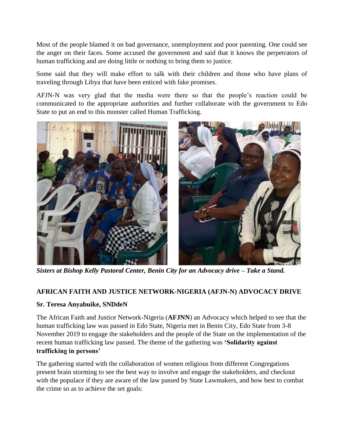Most of the people blamed it on bad governance, unemployment and poor parenting. One could see the anger on their faces. Some accused the government and said that it knows the perpetrators of human trafficking and are doing little or nothing to bring them to justice.

Some said that they will make effort to talk with their children and those who have plans of traveling through Libya that have been enticed with fake promises.

AFJN-N was very glad that the media were there so that the people's reaction could be communicated to the appropriate authorities and further collaborate with the government to Edo State to put an end to this monster called Human Trafficking.



*Sisters at Bishop Kelly Pastoral Center, Benin City for an Advocacy drive – Take a Stand.*

#### **AFRICAN FAITH AND JUSTICE NETWORK-NIGERIA (AFJN-N) ADVOCACY DRIVE**

#### **Sr. Teresa Anyabuike, SNDdeN**

The African Faith and Justice Network-Nigeria (**AFJNN**) an Advocacy which helped to see that the human trafficking law was passed in Edo State, Nigeria met in Benin City, Edo State from 3-8 November 2019 to engage the stakeholders and the people of the State on the implementation of the recent human trafficking law passed. The theme of the gathering was **'Solidarity against trafficking in persons'**

The gathering started with the collaboration of women religious from different Congregations present brain storming to see the best way to involve and engage the stakeholders, and checkout with the populace if they are aware of the law passed by State Lawmakers, and how best to combat the crime so as to achieve the set goals: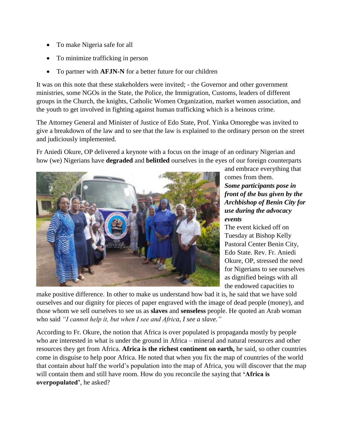- To make Nigeria safe for all
- To minimize trafficking in person
- To partner with **AFJN-N** for a better future for our children

It was on this note that these stakeholders were invited; - the Governor and other government ministries, some NGOs in the State, the Police, the Immigration, Customs, leaders of different groups in the Church, the knights, Catholic Women Organization, market women association, and the youth to get involved in fighting against human trafficking which is a heinous crime.

The Attorney General and Minister of Justice of Edo State, Prof. Yinka Omoregbe was invited to give a breakdown of the law and to see that the law is explained to the ordinary person on the street and judiciously implemented.

Fr Aniedi Okure, OP delivered a keynote with a focus on the image of an ordinary Nigerian and how (we) Nigerians have **degraded** and **belittled** ourselves in the eyes of our foreign counterparts



and embrace everything that comes from them. *Some participants pose in front of the bus given by the Archbishop of Benin City for use during the advocacy events*

The event kicked off on Tuesday at Bishop Kelly Pastoral Center Benin City, Edo State. Rev. Fr. Aniedi Okure, OP, stressed the need for Nigerians to see ourselves as dignified beings with all the endowed capacities to

make positive difference. In other to make us understand how bad it is, he said that we have sold ourselves and our dignity for pieces of paper engraved with the image of dead people (money), and those whom we sell ourselves to see us as **slaves** and **senseless** people. He quoted an Arab woman who said *"I cannot help it, but when I see and Africa, I see a slave."*

According to Fr. Okure, the notion that Africa is over populated is propaganda mostly by people who are interested in what is under the ground in Africa – mineral and natural resources and other resources they get from Africa. **Africa is the richest continent on earth,** he said, so other countries come in disguise to help poor Africa. He noted that when you fix the map of countries of the world that contain about half the world's population into the map of Africa, you will discover that the map will contain them and still have room. How do you reconcile the saying that **'Africa is overpopulated'**, he asked?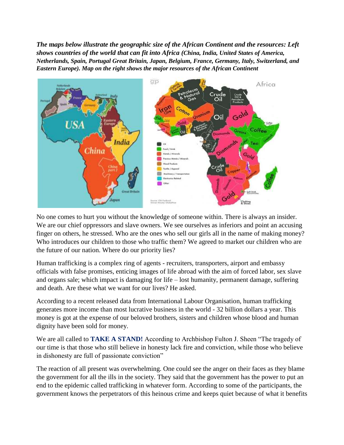*The* **m***aps below illustrate the geographic size of the African Continent and the resources: Left shows countries of the world that can fit into Africa (China, India, United States of America, Netherlands, Spain, Portugal Great Britain, Japan, Belgium, France, Germany, Italy, Switzerland, and Eastern Europe). Map on the right shows the major resources of the African Continent*



No one comes to hurt you without the knowledge of someone within. There is always an insider. We are our chief oppressors and slave owners. We see ourselves as inferiors and point an accusing finger on others, he stressed. Who are the ones who sell our girls all in the name of making money? Who introduces our children to those who traffic them? We agreed to market our children who are the future of our nation. Where do our priority lies?

Human trafficking is a complex ring of agents - recruiters, transporters, airport and embassy officials with false promises, enticing images of life abroad with the aim of forced labor, sex slave and organs sale; which impact is damaging for life – lost humanity, permanent damage, suffering and death. Are these what we want for our lives? He asked.

According to a recent released data from International Labour Organisation, human trafficking generates more income than most lucrative business in the world - 32 billion dollars a year. This money is got at the expense of our beloved brothers, sisters and children whose blood and human dignity have been sold for money.

We are all called to **TAKE A STAND!** According to Archbishop Fulton J. Sheen "The tragedy of our time is that those who still believe in honesty lack fire and conviction, while those who believe in dishonesty are full of passionate conviction"

The reaction of all present was overwhelming. One could see the anger on their faces as they blame the government for all the ills in the society. They said that the government has the power to put an end to the epidemic called trafficking in whatever form. According to some of the participants, the government knows the perpetrators of this heinous crime and keeps quiet because of what it benefits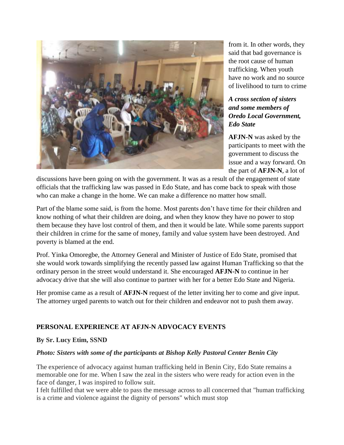![](_page_10_Picture_0.jpeg)

from it. In other words, they said that bad governance is the root cause of human trafficking. When youth have no work and no source of livelihood to turn to crime

#### *A cross section of sisters and some members of Oredo Local Government, Edo State*

**AFJN-N** was asked by the participants to meet with the government to discuss the issue and a way forward. On the part of **AFJN-N**, a lot of

discussions have been going on with the government. It was as a result of the engagement of state officials that the trafficking law was passed in Edo State, and has come back to speak with those who can make a change in the home. We can make a difference no matter how small.

Part of the blame some said, is from the home. Most parents don't have time for their children and know nothing of what their children are doing, and when they know they have no power to stop them because they have lost control of them, and then it would be late. While some parents support their children in crime for the same of money, family and value system have been destroyed. And poverty is blamed at the end.

Prof. Yinka Omoregbe, the Attorney General and Minister of Justice of Edo State, promised that she would work towards simplifying the recently passed law against Human Trafficking so that the ordinary person in the street would understand it. She encouraged **AFJN-N** to continue in her advocacy drive that she will also continue to partner with her for a better Edo State and Nigeria.

Her promise came as a result of **AFJN-N** request of the letter inviting her to come and give input. The attorney urged parents to watch out for their children and endeavor not to push them away.

### **PERSONAL EXPERIENCE AT AFJN-N ADVOCACY EVENTS**

#### **By Sr. Lucy Etim, SSND**

#### *Photo: Sisters with some of the participants at Bishop Kelly Pastoral Center Benin City*

The experience of advocacy against human trafficking held in Benin City, Edo State remains a memorable one for me. When I saw the zeal in the sisters who were ready for action even in the face of danger, I was inspired to follow suit.

I felt fulfilled that we were able to pass the message across to all concerned that "human trafficking is a crime and violence against the dignity of persons" which must stop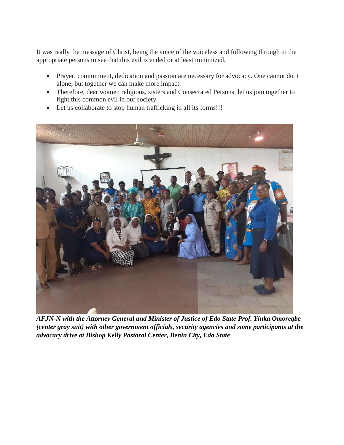It was really the message of Christ, being the voice of the voiceless and following through to the appropriate persons to see that this evil is ended or at least minimized.

- Prayer, commitment, dedication and passion are necessary for advocacy. One cannot do it alone, but together we can make more impact.
- Therefore, dear women religious, sisters and Consecrated Persons, let us join together to fight this common evil in our society.
- Let us collaborate to stop human trafficking in all its forms!!!

![](_page_11_Picture_4.jpeg)

*AFJN-N with the Attorney General and Minister of Justice of Edo State Prof. Yinka Omoregbe (center gray suit) with other government officials, security agencies and some participants at the advocacy drive at Bishop Kelly Pastoral Center, Benin City, Edo State*